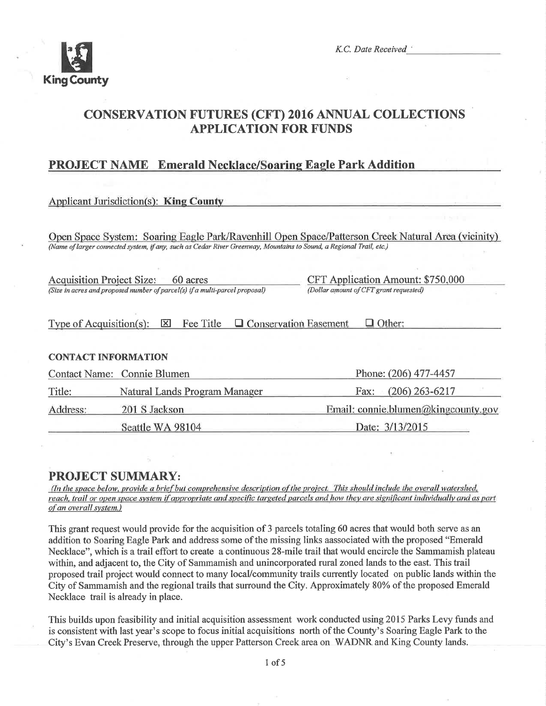

K.C. Date Received

# CONSERVATION FUTURES (CFT) 2016 ANNUAL COLLECTTONS APPLICATION FOR FUNDS

# **PROJECT NAME** Emerald Necklace/Soaring Eagle Park Addition

# **Applicant Jurisdiction(s): King County**

Open Space System: Soaring Eagle Park/Ravenhill Open Space/Patterson Creek Natural Area (vicinity) (Name of larger connected system, if any, such as Cedar River Greenway, Mountains to Sound, a Regional Trail, etc.)

Acquisition Project Size: 60 acres<br>
(Size in acres and proposed number of parcel(s) if a multi-parcel proposal)<br>
(Dollar amount of CFT grant requested) (Size in acres and proposed number of parcel(s) if a multi-parcel proposal)

Type of Acquisition(s):  $\boxtimes$  Fee Title  $\Box$  Conservation Easement  $\Box$  Other:

### CONTACT INFORMATION

|          | Contact Name: Connie Blumen   | Phone: (206) 477-4457               |  |
|----------|-------------------------------|-------------------------------------|--|
| Title:   | Natural Lands Program Manager | Fax: $(206)$ 263-6217               |  |
| Address: | 201 S Jackson                 | Email: connie.blumen@kingcounty.gov |  |
|          | Seattle WA 98104              | Date: 3/13/2015                     |  |

**PROJECT SUMMARY:**<br>(In the space below, provide a brief but comprehensive description of the project. This should include the overall watershed, reach, trail or open space system if appropriate and specific targeted parcels and how they are significant individually and as part of an overøll svstem.)

This grant request would provide for the acquisition of 3 parcels totaling 60 acres that would both serve as an addition to Soaring Eagle Park and address some of the missing links aassociated with the proposed "Emerald Necklace", which is a trail effort to create a continuous 28-mile trail that would encircle the Sammamish plateau within, and adjacent to, the City of Sammamish and unincorporated rural zoned lands to the east. This trail proposed trail project would connect to many locaUcommunity trails currently located on public lands within the City of Sammamish and the regional trails that surround the City. Approximately 80% of the proposed Emerald Necklace trail is already in place.

This builds upon feasibility and initial acquisition assessment work conducted using 2015 Parks Levy funds and is consistent with last year's scope to focus initial acquisitions north of the County's Soaring Eagle Park to the City's Evan Creek Preserve, through the upper Patterson Creek area on WADNR and King County lands.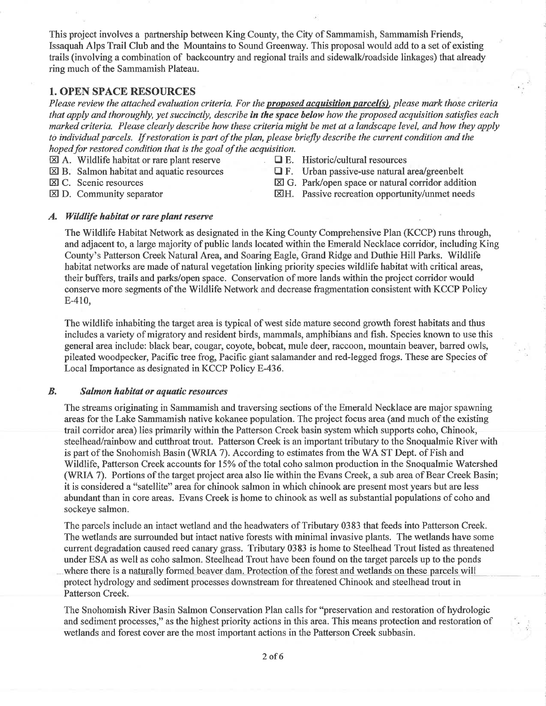This project involves a partnership between King County, the City of Sammamish, Sammamish Friends, Issaquah Alps Trail Club and the Mountains to Sound Greenway. This proposal would add to a set of existing trails (involving a combination of backcountry and regional trails and sidewalk/roadside linkages) that already ring much of the Sammamish Plateau.

### 1. OPEN SPACE RESOURCES

Please review the attached evaluation criteria. For the proposed acquisition parcel(s), please mark those criteria that apply and thoroughly, yet succinctly, describe in the space below how the proposed acquisition satisfies each marked criteria. Please clearly describe how these criteria might be met at a landscape level, and how they apply to individual parcels. If restoration is part of the plan, please briefly descríbe the current condition and the hoped for restored condition that is the goal of the acquisition.

- $\boxtimes$  A. Wildlife habitat or rare plant reserve  $\Box$  E. Historic/cultural resources  $\Box$  E. Urban passive-use natural  $\Box$  F. Urban passive-use natural
- 
- 
- 
- $\boxtimes$  B. Salmon habitat and aquatic resources  $\Box$  F. Urban passive-use natural area/greenbelt  $\boxtimes$  C. Scenic resources  $\boxtimes$  G. Park/open space or natural corridor addit
	-
- 
- E C. Scenic resources<br>
E G. Park/open space or natural corridor addition<br>
E G. Park/open space or natural corridor addition<br>
E H. Passive recreation opportunity/unmet needs
	- ETH. Passive recreation opportunity/unmet needs

#### A. Wildlife habitat or rare plant reserve

The Wildlife Habitat Network as designated in the King County Comprehensive Plan (KCCP) runs through, and adjacent to, alarge majority of public lands located within the Emerald Necklace coridôr, including King County's Patterson Creek Natural Area, and Soaring Eagle, Grand Ridge and Duthie Hill Parks. Wildlife habitat networks are made of natural vegetation linking priority species wildlife habitat with critical areas, their buffers, trails and parks/open space. Conservation of more lands within the project corridor would conserve more segments of the Wildlife Network and decrease fragmentation consistent with KCCP Policy E-410,

The wildlife inhabiting the target area is typical of west side mature second growth forest habitats and thus includes avariety of migratory and resident birds, mammals, amphibians and fish. Species known to use this general area include: black bear, cougar, coyote, bobcat, mule deer, raccoon, mountain beaver, barred owls, pileated woodpecker, Pacific tree frog, Pacific giant salamander and red-legged frogs. These are Species of Local Importance as designated in KCCP Policy E-436.

#### B. Salmon habitat or aquatic resources

The streams originating in Sammamish and traversing sections of the Emerald Necklace are major spawning areas for the Lake Sammamish native kokanee population. The project focus area (and much of the existing trail corridor area) lies primarily within the Patterson Creek basin system which supports coho, Chinook, steelhead/rainbow and cutthroat trout. Patterson Creek is an important tributary to the Snoqualmie River with is part of the Snohomish Basin (WRLA 7). According to estimates from the WA ST Dept. of Fish and Wildlife, Patterson Creek accounts for I5%o of the total coho salmon production in the Snoqualmie Watershed (WRIA 7). Portions of the target project area also lie within the Evans Creek, a sub area of Bear Creek Basin; it is considered a "satellite" area for chinook salmon in which chinook are present most years but are less abundant than in core areas. Evans Creek is home to chinook as well as substantial populations of coho and sockeye salmon.

The parcels include an intact wetland and the headwaters of Tributary 0383 that feeds into Patterson Creek. The wetlands are surrounded but intact native forests with minimal invasive plants. The wetlands have some current degradation caused reed canary grass. Tributary 0383 is home to Steelhead Trout listed as threatened under ESA as well as coho salmon. Steelhead Trout have been found on the target parcels up to the ponds where there is a naturally formed beaver dam. Protection of the forest and wetlands on these parcels will protect hydrology and sediment processes downstream for threatened Chinook and steelhead trout in Patterson Creek.

The Snohomish River Basin Salmon Conservation Plan calls for "preservation and restoration of hydrologic and sediment processes," as the highest priority actions in this area. This means protection and restoration of wetlands and forest cover are the most important actions in the Patterson Creek subbasin.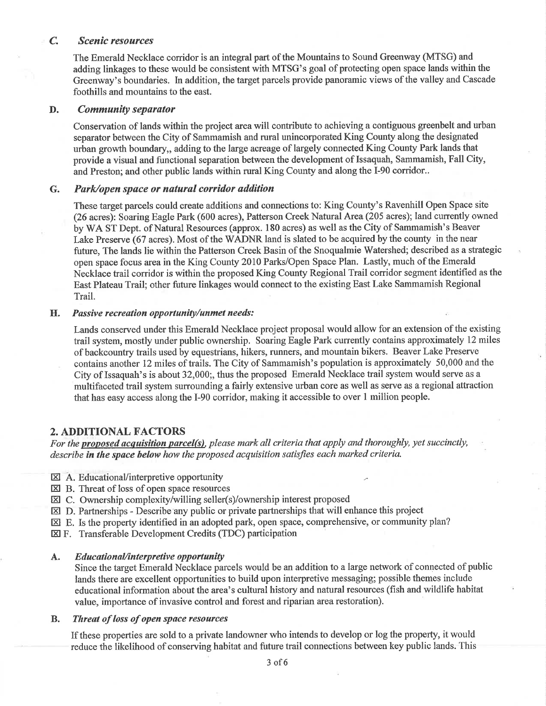#### C. Sceníc resources

The Emerald Necklace corridor is an integral part of the Mountains to Sound Greenway (MTSG) and adding linkages to these would be consistent with MTSG's goal of protecting open space lands within the Greenway's boundaries. In addition, the target parcels provide panoramic views of the valley and Cascade foothills and mountains to the east.

#### D. Communíty sepørator

Conservation of lands within the project area will contribute to achieving a contiguous greenbelt and urban separator between the City of Sammamish and rural unincorporated King County along the designated urban growth boundary,, adding to the large acreage of largely connected King County Park lands that provide a visual and functional separation between the development of Issaquah, Sammamish, Fall City, and Preston; and other public lands within rural King County and along the I-90 corridor..

#### G. Park/open space or natural corridor addition

These target parcels could create additions and connections to: King County's Ravenhill Open Space site (26 acres): Soaring Eagle Park (600 acres), Patterson Creek Natural Area (205 acres); land currently owned by WA ST Dept. of Natural Resources (approx. 180 acres) as well as the City of Sammamish's Beaver Lake Preserve (67 acres). Most of the WADNR land is slated to be acquired by the county in the near future, The lands lie within the Patterson Creek Basin of the Snoqualmie Watershed; described as a strategic open space focus area in the King County 2010 Parks/Open Space Plan. Lastly, much of the Emerald Necklace trail corridor is within the proposed King County Regional Trail corridor segment identified as the East Plateau Trail; other future linkages would connect to the existing East Lake Sammamish Regional Trail.

#### H. Passive recreation opportunity/unmet needs:

Lands conserved under this Emerald Necklace project proposal would allow for an extension of the existing trail system, mostly under public ownership. Soaring Eagle Park currently contains approximately 12 miles of backcountry trails used by equestrians, hikers, runners, and mountain bikers. Beaver Lake Preserve contains another 12 miles of trails. The City of Sammamish's population is approximately 50,000 and the City of Issaquah's is about 32,000;, thus the proposed Emerald Necklace trail system would serve as a multifaceted trail system surrounding afairly extensive urban core as well as serve as a regional attraction that has easy access along the I-90 corridor, making it accessible to over 1 million people.

#### 2. ADDITIONAL FACTORS

For the proposed acquisition parcel(s), please mark all criteria that apply and thoroughly, yet succinctly, describe in the space below how the proposed acquisition satisfies each marked criteria.

- EducationaVinterpretive opportunity EI A.
- $\boxtimes$  B. Threat of loss of open space resources
- $\boxtimes$  C. Ownership complexity/willing seller(s)/ownership interest proposed
- $\boxtimes$  D. Partnerships Describe any public or private partnerships that will enhance this project
- $\boxtimes$  E. Is the property identified in an adopted park, open space, comprehensive, or community plan?
- EZI F. Transferable Development Credits (TDC) participation

#### A. Educational/interpretive opportunity

Since the target Emerald Necklace parcels would be an addition to a large network of connected of public lands there are excellent opportunities to build upon interpretive messaging; possible themes include educational information about the area's cultural history and natural resources (fish and wildlife habitat value, importance of invasive control and forest and riparian area restoration).

#### B. Threat of loss of open space resources

If these properties are sold to a private landowner who intends to develop or log the property, it would reduce the tikelihood of conserving habitat and future trail connections between key public lands. This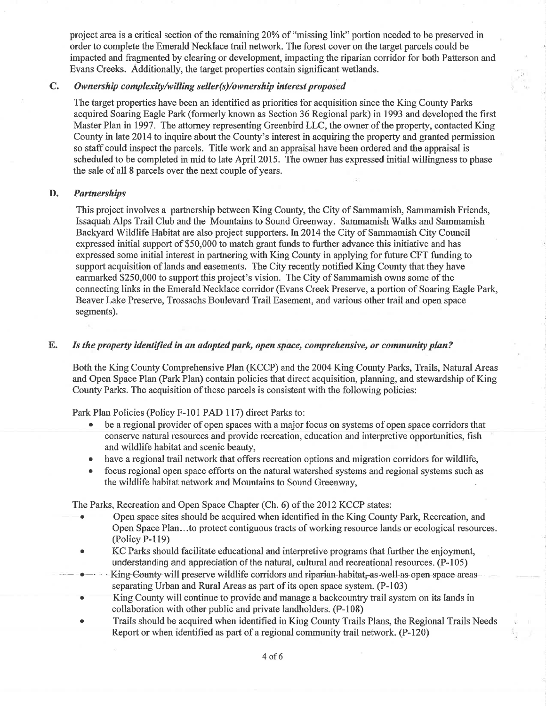project area is a critical section of the remaining 20% of "missing link" portion needed to be preserved in order to complete the Emerald Necklace trail network. The forest cover on the target parcels could be impacted and fragmented by clearing or development, impacting the riparian corridor for both Patterson and Evans Creeks. Additionally, the target properties contain significant wetlands.

#### C. Ownership complexity/willing seller(s)/ownership interest proposed

The target properties have been an identified as priorities for acquisition since the King County Parks acquired Soaring Eagle Park (formerly known as Section 36 Regional park) in 1993 and developed the first Master Plan in 1997. The attorney representing Greenbird LLC, the owner of the propefty, contacted King County in late 2014 to inquire about the County's interest in acquiring the property and granted permission so staff could inspect the parcels. Title work and an appraisal have been ordered and the appraisal is scheduled to be completed in mid to late April 2015. The owner has expressed initial willingness to phase the sale of all 8 parcels over the next couple of years.

#### D. Partnershíps

This project involves a partnership between King County, the City of Sammamish, Sammamish Friends, Issaquah Alps Trail Club and the Mountains to Sound Greenway. Sammamish Walks and Sammamish Backyard Wildlife Habitat are also project supporters. In 2014 the City of Sammamish City Council expressed initial support of \$50,000 to match grant funds to further advance this initiative and has expressed some initial interest in partnering with King County in applying for future CFT funding to support acquisition of lands and easements. The City recently notified King County that they have earmarked \$250,000 to support this project's vision. The City of Sammamish owns some of the connecting links in the Emerald Necklace corridor (Evans Creek Preserve, a portion of Soaring Eagle Park, Beaver Lake Preserve, Trossachs Boulevard Trail Easement, and various other trail and open space segments).

#### E. Is the properly ídentijied in an adopted park, open spøce, comprehensive, or community plan?

Both the King County Comprehensive Plan (KCCP) and the 2004 King County Parks, Trails, Natural Areas and Open Space Plan (Park Plan) contain policies that direct acquisition, planning, and stewardship of King County Parks. The acquisition of these parcels is consistent with the following policies:

Park Plan Policies (Policy F-l01 PAD 117) direct Parks to:

- . be a regional provider of open spaces with a major focus on systems of open space corridors that conserve natural resources and provide recreation, education and interpretive opportunities, fish and wildlife habitat and scenic beauty,
- have a regional trail network that offers recreation options and migration corridors for wildlife,
- focus regional open space efforts on the natural watershed systems and regional systems such as the wildlife habitat network and Mountains to Sound Greenway,

The Parks, Recreation and Open Space Chapter (Ch. 6) of the 2012 KCCP states:

- . Open space sites should be acquired when identified in the King County Park, Recreation, and Open Space Plan.. .to protect contiguous tracts of working resource lands or ecological resources. (Policy P-119)
- . KC Parks should facilitate educational and interpretive programs that further the enjoyment, understanding and appreciation of the natural, cultural and recreational resources. (P-105)
- King-County-will-preserve-wildlife-corridors-and-riparian-habitat-as-well as open space-areas-separating Urban and Rural Areas as part of its open space system. (P-103)
- King County will continue to provide and manage a backcountry trail system on its lands in collaboration with other public and private landholders. (P-108)
- Trails should be acquired when identified in King County Trails Plans, the Regional Trails Needs Report or when identified as part of a regional community trail network. (P-120)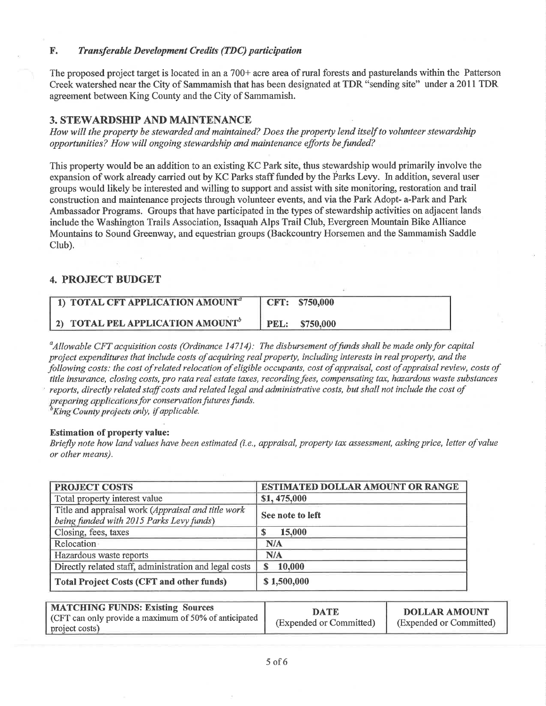#### F. Trønsferable Development Credits (TDC) participation

The proposed project target is located in an a 700+ acre area of rural forests and pasturelands within the Patterson Creek watershed near the City of Sammamish that has been designated at TDR "sending site" under a 2011 TDR agreement between King County and the City of Sammamish.

#### 3. STEWARDSHIP AND MAINTENANCE

How will the property be stewarded and maintained? Does the property lend itself to volunteer stewardship opportunities? How will ongoing stewardship and maintenance efforts befunded?

This properly would be an addition to an existing KC Park site, thus stewardship would primarily involve the expansion of work already carried out by KC Parks staff funded by the Parks Levy. In addition, several user groups would likely be interested and willing to support and assist with site monitoring, restoration and trail construction and maintenance projects through volunteer events, and via the Park Adopt- a-Park and Park Ambassador Programs. Groups that have participated in the types of stewardship activities on adjacent lands include the Washington Trails Association, Issaquah Alps Trail Club, Evergreen Mountain Bike Alliance Mountains to Sound Greenway, and equestrian groups (Backcountry Horsemen and the Sammamish Saddle Club).

#### 4. PROJECT BUDGET

| 1) TOTAL CFT APPLICATION AMOUNT <sup>a</sup>        |      | $\parallel$ CFT: \$750,000 |
|-----------------------------------------------------|------|----------------------------|
| <b>2) TOTAL PEL APPLICATION AMOUNT</b> <sup>o</sup> | PEL: | \$750.000                  |

 $\alpha_A^2$ dllowable CFT acquisition costs (Ordinance 14714): The disbursement of funds shall be made only for capital project expendítures that include costs of acquiring real property, including interests in real property, and the following costs: the cost of related relocation of eligible occupants, cost of appraisal, cost of appraisal review, costs of title insurance, closing costs, pro rata real estate taxes, recording fees, compensating tax, hazardous waste substances reports, directly related staff costs and related legal and administrative costs, but shall not include the cost of preparing applications for conservation futures funds.  ${}^{\text{b}}$ King County projects only, if applicable.

Estimation of property value:

Briefly note how land values have been estimated (i.e., appraisal, property tax assessment, asking price, Ietter of value or other means).

| <b>PROJECT COSTS</b>                                                                           | <b>ESTIMATED DOLLAR AMOUNT OR RANGE</b> |  |  |
|------------------------------------------------------------------------------------------------|-----------------------------------------|--|--|
| Total property interest value                                                                  | \$1,475,000                             |  |  |
| Title and appraisal work (Appraisal and title work<br>being funded with 2015 Parks Levy funds) | See note to left                        |  |  |
| Closing, fees, taxes                                                                           | 15,000                                  |  |  |
| Relocation                                                                                     | N/A                                     |  |  |
| Hazardous waste reports                                                                        | N/A                                     |  |  |
| Directly related staff, administration and legal costs                                         | 10,000<br>S.                            |  |  |
| <b>Total Project Costs (CFT and other funds)</b>                                               | \$1,500,000                             |  |  |

| <b>MATCHING FUNDS: Existing Sources</b><br>$\vert$ (CFT can only provide a maximum of 50% of anticipated $\vert$<br>project costs) | <b>DATE</b><br>(Expended or Committed) | <b>DOLLAR AMOUNT</b><br>(Expended or Committed) |
|------------------------------------------------------------------------------------------------------------------------------------|----------------------------------------|-------------------------------------------------|
|------------------------------------------------------------------------------------------------------------------------------------|----------------------------------------|-------------------------------------------------|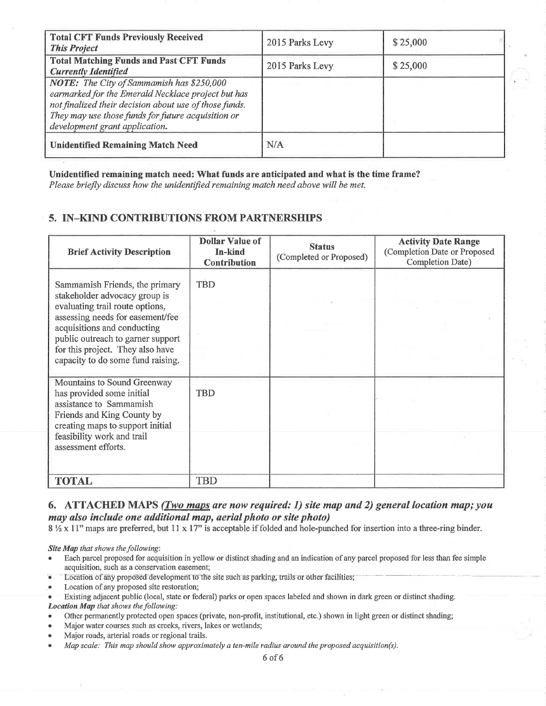| <b>Total CFT Funds Previously Received</b><br><b>This Project</b>                                                                                                                                                                                        | 2015 Parks Levy | \$25,000 |
|----------------------------------------------------------------------------------------------------------------------------------------------------------------------------------------------------------------------------------------------------------|-----------------|----------|
| <b>Total Matching Funds and Past CFT Funds</b><br><b>Currently Identified</b>                                                                                                                                                                            | 2015 Parks Levy | \$25,000 |
| <b>NOTE:</b> The City of Sammamish has \$250,000<br>earmarked for the Emerald Necklace project but has<br>not finalized their decision about use of those funds.<br>They may use those funds for future acquisition or<br>development grant application. |                 |          |
| <b>Unidentified Remaining Match Need</b>                                                                                                                                                                                                                 | N/A             |          |

Unidentified remaining match need: What funds are anticipated and what is the time frame?

Please briefly discuss how the unidentified remaining match need above will be met.

# 5. IN-KIND CONTRIBUTIONS FROM PARTNERSHIPS

| <b>Brief Activity Description</b>                                                                                                                                                                                                                                                   | <b>Dollar Value of</b><br>In-kind<br><b>Contribution</b> | <b>Status</b><br>(Completed or Proposed) | <b>Activity Date Range</b><br>(Completion Date or Proposed<br>Completion Date) |
|-------------------------------------------------------------------------------------------------------------------------------------------------------------------------------------------------------------------------------------------------------------------------------------|----------------------------------------------------------|------------------------------------------|--------------------------------------------------------------------------------|
| Sammamish Friends, the primary<br>stakeholder advocacy group is<br>evaluating trail route options,<br>assessing needs for easement/fee<br>acquisitions and conducting<br>public outreach to garner support<br>for this project. They also have<br>capacity to do some fund raising. | <b>TBD</b>                                               |                                          |                                                                                |
| Mountains to Sound Greenway<br>has provided some initial<br>assistance to Sammamish<br>Friends and King County by<br>creating maps to support initial<br>feasibility work and trail<br>assessment efforts.                                                                          | TBD                                                      |                                          |                                                                                |
| <b>TOTAL</b>                                                                                                                                                                                                                                                                        | <b>TBD</b>                                               |                                          |                                                                                |

## 6. ATTACHED MAPS (Two maps are now required: 1) site map and 2) general location map; you may also include one additional map, aerial photo or site photo)

8 1/2 x 11" maps are preferred, but 11 x 17" is acceptable if folded and hole-punched for insertion into a three-ring binder.

Site Map that shows the following:

- Each parcel proposed for acquisition in yellow or distinct shading and an indication of any parcel proposed for less than fee simple acquisition, such as a conservation easement;
- Location of any proposed development to the site such as parking, trails or other facilities;
- Location of any proposed site restoration;
- Existing adjacent public (local, state or federal) parks or open spaces labeled and shown in dark green or distinct shading. Location Map that shows the following:
- Other permanently protected open spaces (private, non-profit, institutional, etc.) shown in light green or distinct shading;
- Major water courses such as creeks, rivers, lakes or wetlands;
- Major roads, arterial roads or regional trails.
- Map scale: This map should show approximately a ten-mile radius around the proposed acquisition(s).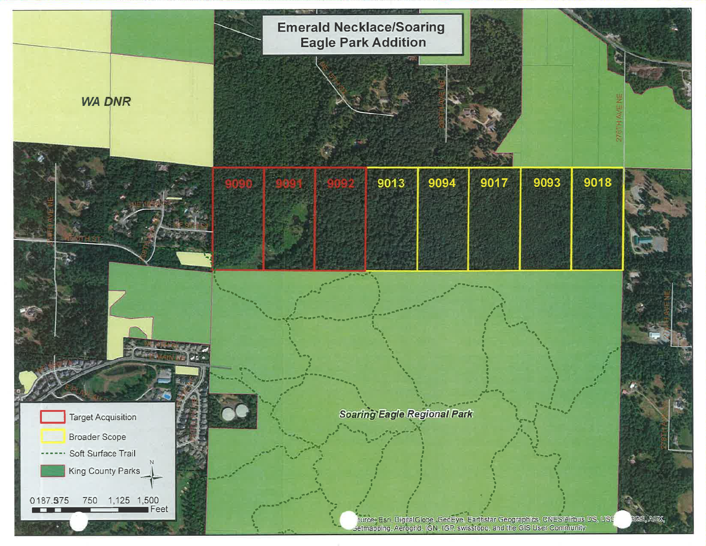